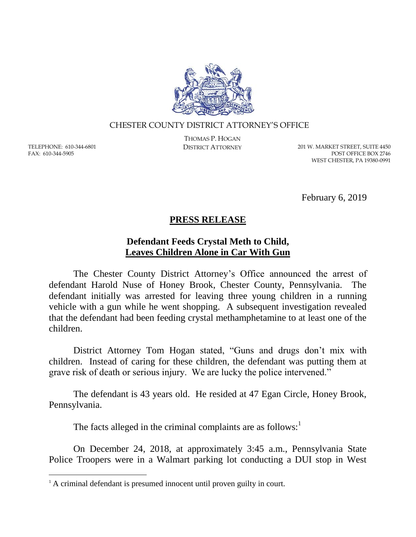

## CHESTER COUNTY DISTRICT ATTORNEY'S OFFICE

TELEPHONE: 610-344-6801 FAX: 610-344-5905

 $\overline{a}$ 

THOMAS P. HOGAN

DISTRICT ATTORNEY 201 W. MARKET STREET, SUITE 4450 POST OFFICE BOX 2746 WEST CHESTER, PA 19380-0991

February 6, 2019

## **PRESS RELEASE**

## **Defendant Feeds Crystal Meth to Child, Leaves Children Alone in Car With Gun**

The Chester County District Attorney's Office announced the arrest of defendant Harold Nuse of Honey Brook, Chester County, Pennsylvania. The defendant initially was arrested for leaving three young children in a running vehicle with a gun while he went shopping. A subsequent investigation revealed that the defendant had been feeding crystal methamphetamine to at least one of the children.

District Attorney Tom Hogan stated, "Guns and drugs don't mix with children. Instead of caring for these children, the defendant was putting them at grave risk of death or serious injury. We are lucky the police intervened."

The defendant is 43 years old. He resided at 47 Egan Circle, Honey Brook, Pennsylvania.

The facts alleged in the criminal complaints are as follows: $<sup>1</sup>$ </sup>

On December 24, 2018, at approximately 3:45 a.m., Pennsylvania State Police Troopers were in a Walmart parking lot conducting a DUI stop in West

<sup>&</sup>lt;sup>1</sup> A criminal defendant is presumed innocent until proven guilty in court.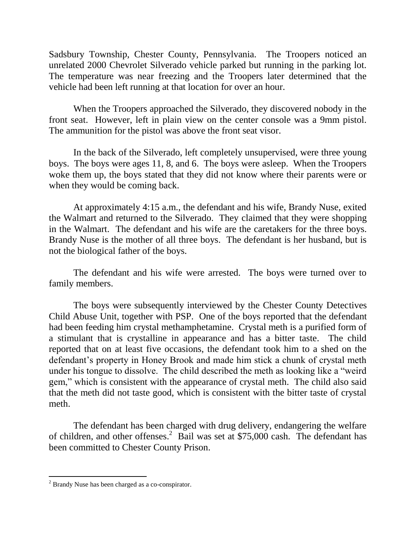Sadsbury Township, Chester County, Pennsylvania. The Troopers noticed an unrelated 2000 Chevrolet Silverado vehicle parked but running in the parking lot. The temperature was near freezing and the Troopers later determined that the vehicle had been left running at that location for over an hour.

When the Troopers approached the Silverado, they discovered nobody in the front seat. However, left in plain view on the center console was a 9mm pistol. The ammunition for the pistol was above the front seat visor.

In the back of the Silverado, left completely unsupervised, were three young boys. The boys were ages 11, 8, and 6. The boys were asleep. When the Troopers woke them up, the boys stated that they did not know where their parents were or when they would be coming back.

At approximately 4:15 a.m., the defendant and his wife, Brandy Nuse, exited the Walmart and returned to the Silverado. They claimed that they were shopping in the Walmart. The defendant and his wife are the caretakers for the three boys. Brandy Nuse is the mother of all three boys. The defendant is her husband, but is not the biological father of the boys.

The defendant and his wife were arrested. The boys were turned over to family members.

The boys were subsequently interviewed by the Chester County Detectives Child Abuse Unit, together with PSP. One of the boys reported that the defendant had been feeding him crystal methamphetamine. Crystal meth is a purified form of a stimulant that is crystalline in appearance and has a bitter taste. The child reported that on at least five occasions, the defendant took him to a shed on the defendant's property in Honey Brook and made him stick a chunk of crystal meth under his tongue to dissolve. The child described the meth as looking like a "weird gem," which is consistent with the appearance of crystal meth. The child also said that the meth did not taste good, which is consistent with the bitter taste of crystal meth.

The defendant has been charged with drug delivery, endangering the welfare of children, and other offenses.<sup>2</sup> Bail was set at \$75,000 cash. The defendant has been committed to Chester County Prison.

 $\overline{a}$ 

<sup>2</sup> Brandy Nuse has been charged as a co-conspirator.